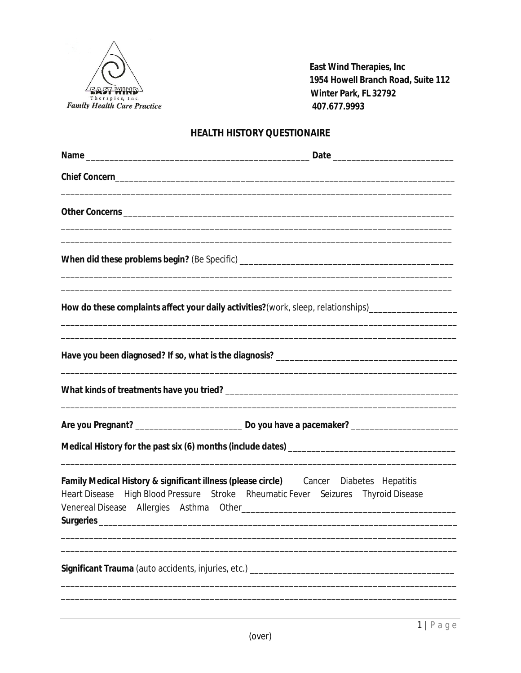

East Wind Therapies, Inc 1954 Howell Branch Road, Suite 112 Winter Park, FL 32792 407.677.9993

## **HEALTH HISTORY QUESTIONAIRE**

|                                                                                        | ,我们也不能在这里的时候,我们也不能在这里的时候,我们也不能会在这里的时候,我们也不能会在这里的时候,我们也不能会在这里的时候,我们也不能会在这里的时候,我们也                                                                                  |
|----------------------------------------------------------------------------------------|-------------------------------------------------------------------------------------------------------------------------------------------------------------------|
|                                                                                        |                                                                                                                                                                   |
|                                                                                        |                                                                                                                                                                   |
|                                                                                        | How do these complaints affect your daily activities?(work, sleep, relationships)___________________                                                              |
| <u> 1989 - Johann Stoff, amerikansk politiker (* 1908)</u>                             | ,我们也不能会在这里,我们的人们也不能会在这里,我们也不能会在这里,我们也不能会在这里,我们也不能会在这里,我们也不能会在这里,我们也不能会不能会不能会。<br>第2012章 我们的人们,我们的人们的人们,我们的人们的人们,我们的人们的人们的人们,我们的人们的人们的人们,我们的人们的人们,我们的人们的人们,我们的人们的人 |
|                                                                                        |                                                                                                                                                                   |
|                                                                                        |                                                                                                                                                                   |
|                                                                                        |                                                                                                                                                                   |
| Family Medical History & significant illness (please circle) Cancer Diabetes Hepatitis | Heart Disease High Blood Pressure Stroke Rheumatic Fever Seizures Thyroid Disease                                                                                 |
| Significant Trauma (auto accidents, injuries, etc.) ____________________________       |                                                                                                                                                                   |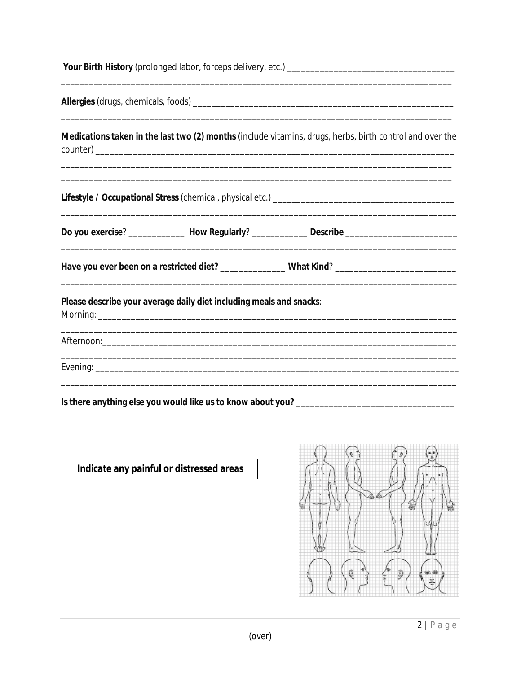| Medications taken in the last two (2) months (include vitamins, drugs, herbs, birth control and over the                                                          |
|-------------------------------------------------------------------------------------------------------------------------------------------------------------------|
| ,我们也不能会在这里,我们的人们也不能会在这里,我们也不能会在这里,我们也不能会在这里,我们也不能会在这里,我们也不能会在这里,我们也不能会不能会不能会。<br>第2012章 我们的人们,我们的人们的人们,我们的人们的人们,我们的人们的人们的人们,我们的人们的人们,我们的人们的人们,我们的人们的人们,我们的人们的人们,我 |
| Do you exercise? ________________ How Regularly? ________________ Describe ________________________                                                               |
|                                                                                                                                                                   |
| Please describe your average daily diet including meals and snacks:                                                                                               |
|                                                                                                                                                                   |
|                                                                                                                                                                   |
|                                                                                                                                                                   |
| $\left( \mathfrak{e}\right. \rightarrow$<br>$\langle \rangle$<br>$\langle \cdot \rangle$                                                                          |

Indicate any painful or distressed areas

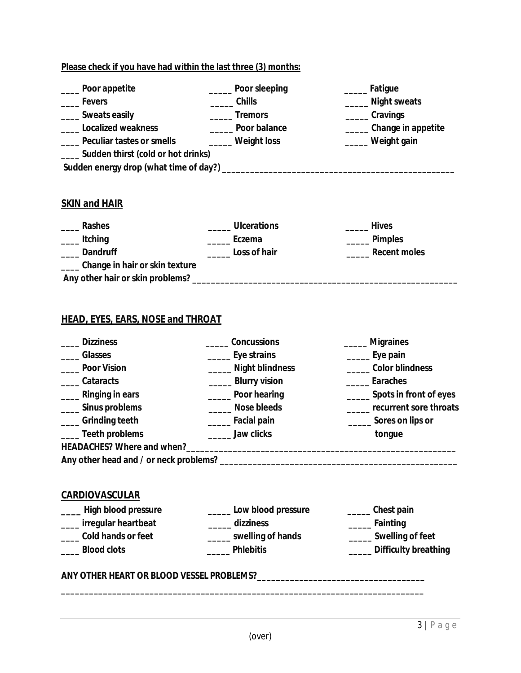| Poor appetite                         | Poor sleeping       | Fatigue            |
|---------------------------------------|---------------------|--------------------|
| <b>Fevers</b>                         | Chills              | Night sweats       |
| __ Sweats easily                      | <b>Tremors</b>      | <b>Cravings</b>    |
| <b>Localized weakness</b>             | <b>Poor balance</b> | Change in appetite |
| <b>Peculiar tastes or smells</b>      | <b>Weight loss</b>  | <b>Weight gain</b> |
| __ Sudden thirst (cold or hot drinks) |                     |                    |
|                                       |                     |                    |
|                                       |                     |                    |
|                                       |                     |                    |

## **SKIN and HAIR**

| <b>Rashes</b>                    | <b>Ulcerations</b> | <b>Hives</b>        |
|----------------------------------|--------------------|---------------------|
| <b>Itching</b>                   | Eczema             | <b>Pimples</b>      |
| <b>Dandruff</b>                  | Loss of hair       | <b>Recent moles</b> |
| Change in hair or skin texture   |                    |                     |
| Any other hair or skin problems? |                    |                     |

## **HEAD, EYES, EARS, NOSE and THROAT**

| <b>Dizziness</b>         | <b>Concussions</b>      | ____ Migraines                |
|--------------------------|-------------------------|-------------------------------|
| <b>Glasses</b>           | ________ Eye strains    | _____ Eye pain                |
| <b>Poor Vision</b>       | _____ Night blindness   | ______ Color blindness        |
| __Cataracts              | ______ Blurry vision    | <b>Earaches</b>               |
| _____ Ringing in ears    | _____ Poor hearing      | ______ Spots in front of eyes |
| ____ Sinus problems      | _____ Nose bleeds       | _____ recurrent sore throats  |
| <b>Grinding teeth</b>    | ______ Facial pain      | _______ Sores on lips or      |
| __ Teeth problems        | Jaw clicks              | tongue                        |
|                          |                         |                               |
|                          |                         |                               |
|                          |                         |                               |
| <b>CARDIOVASCULAR</b>    |                         |                               |
| ____ High blood pressure | Low blood pressure      | ______ Chest pain             |
| ___ irregular heartbeat  | _____ dizziness         | ______ Fainting               |
| __ Cold hands or feet    | _____ swelling of hands | _____ Swelling of feet        |
| <b>Blood clots</b>       | <b>Phlebitis</b>        | _____ Difficulty breathing    |
|                          |                         |                               |
|                          |                         |                               |
|                          |                         |                               |
|                          |                         |                               |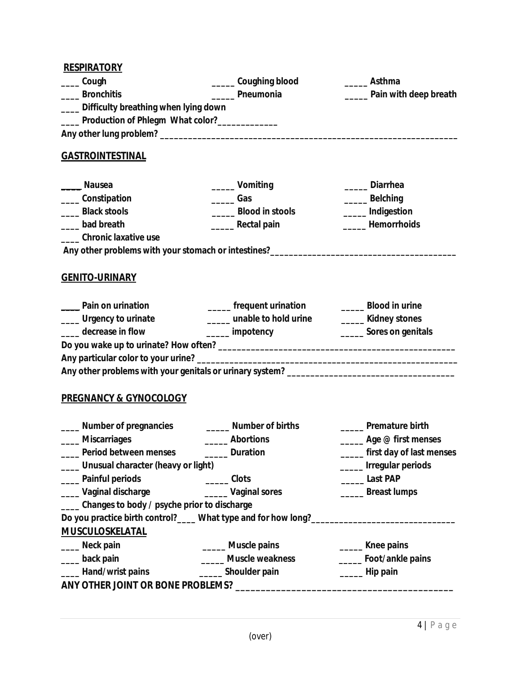| <b>RESPIRATORY</b>                                |                                                                                   |                                 |
|---------------------------------------------------|-----------------------------------------------------------------------------------|---------------------------------|
| Cough                                             | Coughing blood                                                                    | __ Asthma                       |
| ____ Bronchitis                                   | Pneumonia                                                                         | Pain with deep breath           |
| ___ Difficulty breathing when lying down          |                                                                                   |                                 |
| ____ Production of Phlegm What color?____________ |                                                                                   |                                 |
|                                                   |                                                                                   |                                 |
| <b>GASTROINTESTINAL</b>                           |                                                                                   |                                 |
| <b>Nausea</b>                                     | _____ Vomiting                                                                    | <b>Diarrhea</b>                 |
| _____ Constipation                                | $\sqrt{2}$ Gas                                                                    | ______ Belching                 |
| _____ Black stools                                | Blood in stools                                                                   | _____ Indigestion               |
| bad breath                                        | _______ Rectal pain                                                               | <b>Hemorrhoids</b>              |
| Chronic laxative use                              |                                                                                   |                                 |
|                                                   | Any other problems with your stomach or intestines?______________________________ |                                 |
| <b>GENITO-URINARY</b>                             |                                                                                   |                                 |
| _____ Pain on urination                           | _____ frequent urination                                                          | <b>Example 1</b> Blood in urine |
| ____ Urgency to urinate                           | _____ unable to hold urine                                                        | _____ Kidney stones             |
| _____ decrease in flow                            | _____ impotency                                                                   | _______ Sores on genitals       |
|                                                   |                                                                                   |                                 |
|                                                   |                                                                                   |                                 |
|                                                   |                                                                                   |                                 |
| <b>PREGNANCY &amp; GYNOCOLOGY</b>                 |                                                                                   |                                 |
| ____ Number of pregnancies                        | Number of births                                                                  | <b>Premature birth</b>          |
| Miscarriages                                      | <b>Abortions</b>                                                                  | <b>Age @ first menses</b>       |
| Period between menses                             | <b>Example 2</b> Duration                                                         | first day of last menses        |
| ___ Unusual character (heavy or light)            |                                                                                   | _____ Irregular periods         |
| Painful periods                                   | Clots                                                                             | Last PAP                        |
| Vaginal discharge                                 | _____ Vaginal sores                                                               | _____ Breast lumps              |
| ___ Changes to body / psyche prior to discharge   |                                                                                   |                                 |
|                                                   | Do you practice birth control?____ What type and for how long?___________________ |                                 |
| <b>MUSCULOSKELATAL</b>                            |                                                                                   |                                 |
| Neck pain                                         | _____ Muscle pains                                                                | ______ Knee pains               |
| ___ back pain                                     | Muscle weakness                                                                   | Foot/ankle pains                |
| ____ Hand/wrist pains                             | ______ Shoulder pain                                                              | ______ Hip pain                 |
|                                                   | ANY OTHER JOINT OR BONE PROBLEMS? ______________________                          |                                 |